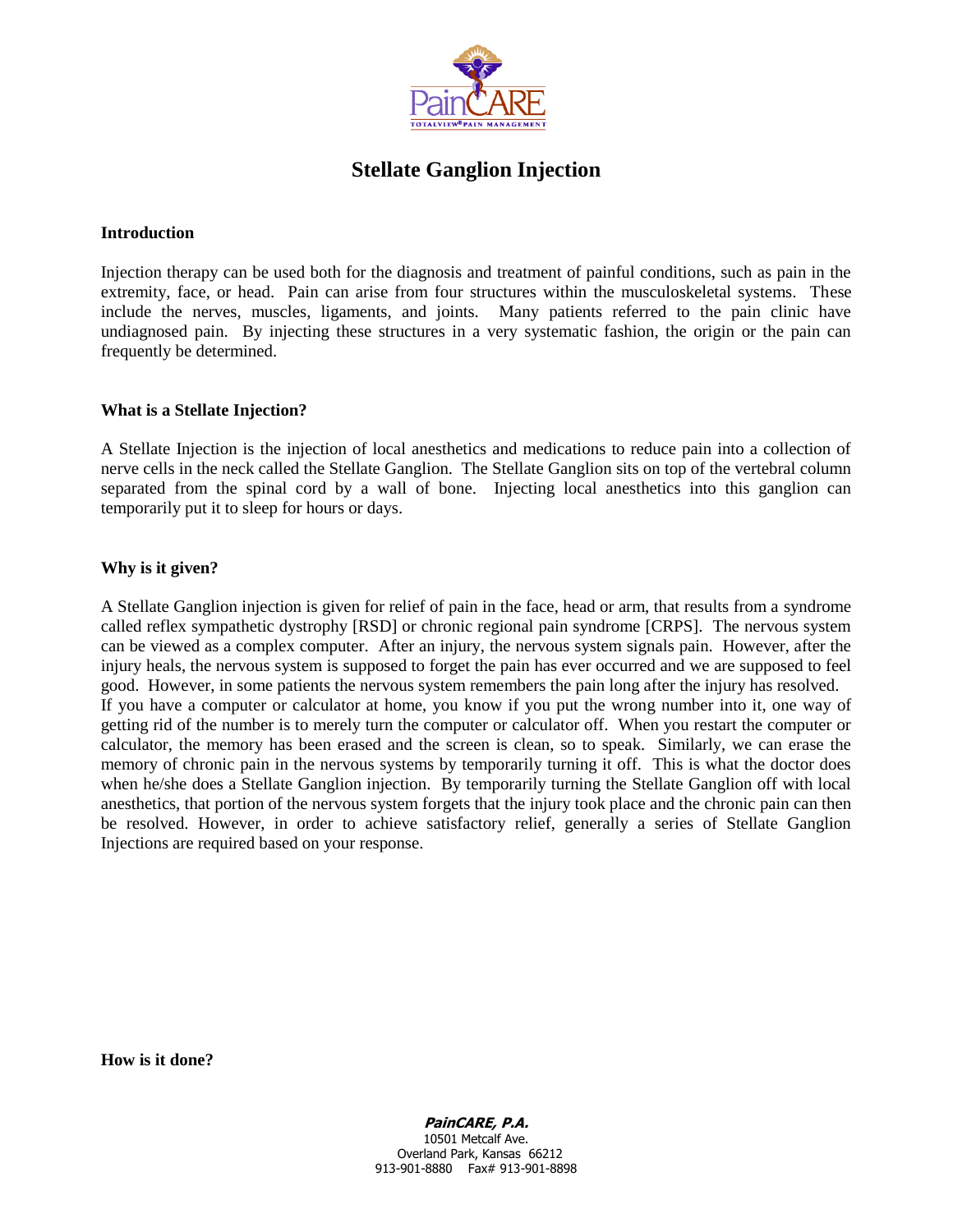

# **Stellate Ganglion Injection**

### **Introduction**

Injection therapy can be used both for the diagnosis and treatment of painful conditions, such as pain in the extremity, face, or head. Pain can arise from four structures within the musculoskeletal systems. These include the nerves, muscles, ligaments, and joints. Many patients referred to the pain clinic have undiagnosed pain. By injecting these structures in a very systematic fashion, the origin or the pain can frequently be determined.

### **What is a Stellate Injection?**

A Stellate Injection is the injection of local anesthetics and medications to reduce pain into a collection of nerve cells in the neck called the Stellate Ganglion. The Stellate Ganglion sits on top of the vertebral column separated from the spinal cord by a wall of bone. Injecting local anesthetics into this ganglion can temporarily put it to sleep for hours or days.

# **Why is it given?**

A Stellate Ganglion injection is given for relief of pain in the face, head or arm, that results from a syndrome called reflex sympathetic dystrophy [RSD] or chronic regional pain syndrome [CRPS]. The nervous system can be viewed as a complex computer. After an injury, the nervous system signals pain. However, after the injury heals, the nervous system is supposed to forget the pain has ever occurred and we are supposed to feel good. However, in some patients the nervous system remembers the pain long after the injury has resolved. If you have a computer or calculator at home, you know if you put the wrong number into it, one way of getting rid of the number is to merely turn the computer or calculator off. When you restart the computer or calculator, the memory has been erased and the screen is clean, so to speak. Similarly, we can erase the memory of chronic pain in the nervous systems by temporarily turning it off. This is what the doctor does when he/she does a Stellate Ganglion injection. By temporarily turning the Stellate Ganglion off with local anesthetics, that portion of the nervous system forgets that the injury took place and the chronic pain can then be resolved. However, in order to achieve satisfactory relief, generally a series of Stellate Ganglion Injections are required based on your response.

**How is it done?**